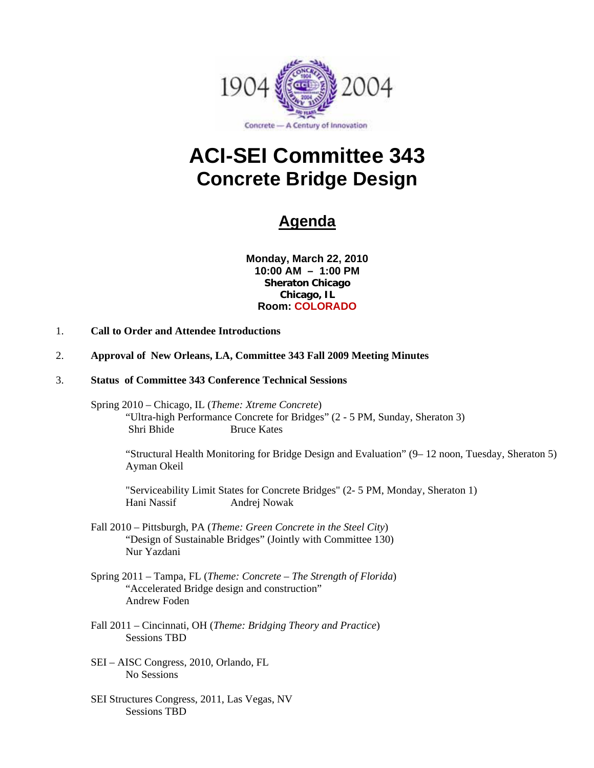

# **ACI-SEI Committee 343 Concrete Bridge Design**

# **Agenda**

**Monday, March 22, 2010 10:00 AM – 1:00 PM Sheraton Chicago Chicago, IL Room: COLORADO**

- 1. **Call to Order and Attendee Introductions**
- 2. **Approval of New Orleans, LA, Committee 343 Fall 2009 Meeting Minutes**
- 3. **Status of Committee 343 Conference Technical Sessions** 
	- Spring 2010 Chicago, IL (*Theme: Xtreme Concrete*) "Ultra-high Performance Concrete for Bridges" (2 - 5 PM, Sunday, Sheraton 3) Shri Bhide Bruce Kates

"Structural Health Monitoring for Bridge Design and Evaluation" (9– 12 noon, Tuesday, Sheraton 5) Ayman Okeil

"Serviceability Limit States for Concrete Bridges" (2- 5 PM, Monday, Sheraton 1) Hani Nassif Andrej Nowak

- Fall 2010 Pittsburgh, PA (*Theme: Green Concrete in the Steel City*) "Design of Sustainable Bridges" (Jointly with Committee 130) Nur Yazdani
- Spring 2011 Tampa, FL (*Theme: Concrete The Strength of Florida*) "Accelerated Bridge design and construction" Andrew Foden
- Fall 2011 Cincinnati, OH (*Theme: Bridging Theory and Practice*) Sessions TBD
- SEI AISC Congress, 2010, Orlando, FL No Sessions
- SEI Structures Congress, 2011, Las Vegas, NV Sessions TBD